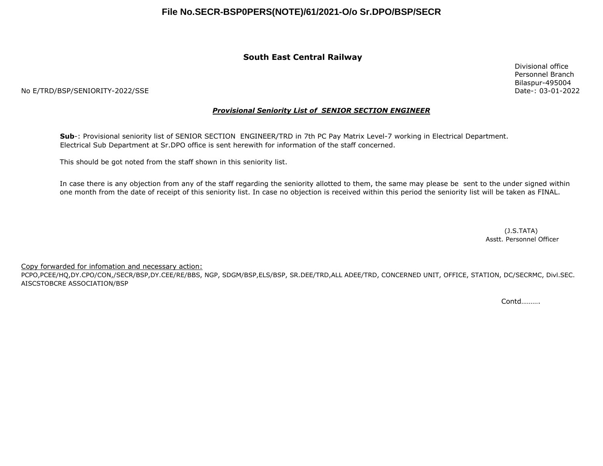#### **South East Central Railway**

Divisional office Personnel Branch Bilaspur-495004 Date-: 03-01-2022

No E/TRD/BSP/SENIORITY-2022/SSE

#### *Provisional Seniority List of SENIOR SECTION ENGINEER*

**Sub**-: Provisional seniority list of SENIOR SECTION ENGINEER/TRD in 7th PC Pay Matrix Level-7 working in Electrical Department. Electrical Sub Department at Sr.DPO office is sent herewith for information of the staff concerned.

This should be got noted from the staff shown in this seniority list.

In case there is any objection from any of the staff regarding the seniority allotted to them, the same may please be sent to the under signed within one month from the date of receipt of this seniority list. In case no objection is received within this period the seniority list will be taken as FINAL.

> (J.S.TATA) Asstt. Personnel Officer

Copy forwarded for infomation and necessary action:

PCPO,PCEE/HQ,DY.CPO/CON,/SECR/BSP,DY.CEE/RE/BBS, NGP, SDGM/BSP,ELS/BSP, SR.DEE/TRD,ALL ADEE/TRD, CONCERNED UNIT, OFFICE, STATION, DC/SECRMC, Divl.SEC. AISCSTOBCRE ASSOCIATION/BSP

Contd……….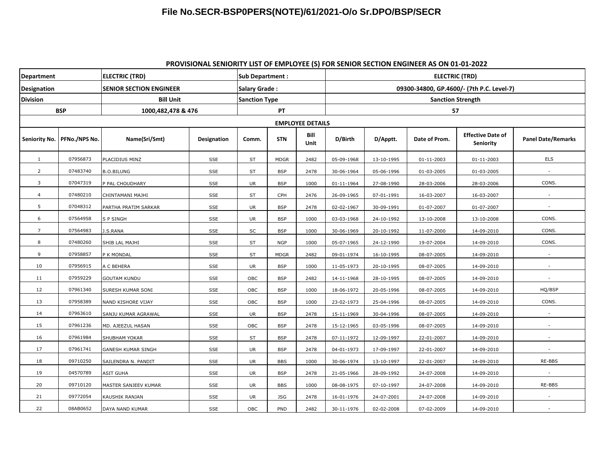#### **PROVISIONAL SENIORITY LIST OF EMPLOYEE (S) FOR SENIOR SECTION ENGINEER AS ON 01-01-2022**

| <b>Department</b>       |               | <b>ELECTRIC (TRD)</b>          | <b>Sub Department:</b> |                      |             | <b>ELECTRIC (TRD)</b> |                                           |            |                  |                                       |                           |  |
|-------------------------|---------------|--------------------------------|------------------------|----------------------|-------------|-----------------------|-------------------------------------------|------------|------------------|---------------------------------------|---------------------------|--|
| Designation             |               | <b>SENIOR SECTION ENGINEER</b> |                        | Salary Grade:        |             |                       | 09300-34800, GP.4600/- (7th P.C. Level-7) |            |                  |                                       |                           |  |
| <b>Division</b>         |               | <b>Bill Unit</b>               |                        | <b>Sanction Type</b> |             |                       | <b>Sanction Strength</b>                  |            |                  |                                       |                           |  |
| <b>BSP</b>              |               | 1000,482,478 & 476             |                        | PT                   |             |                       | 57                                        |            |                  |                                       |                           |  |
| <b>EMPLOYEE DETAILS</b> |               |                                |                        |                      |             |                       |                                           |            |                  |                                       |                           |  |
| Seniority No.           | PFNo./NPS No. | Name(Sri/Smt)                  | Designation            | Comm.                | <b>STN</b>  | Bill<br>Unit          | D/Birth                                   | D/Apptt.   | Date of Prom.    | <b>Effective Date of</b><br>Seniority | <b>Panel Date/Remarks</b> |  |
| $\mathbf{1}$            | 07956873      | PLACIDIUS MINZ                 | SSE                    | ST                   | <b>MDGR</b> | 2482                  | 05-09-1968                                | 13-10-1995 | $01 - 11 - 2003$ | $01 - 11 - 2003$                      | <b>ELS</b>                |  |
| $\overline{2}$          | 07483740      | <b>B.O.BILUNG</b>              | SSE                    | ST                   | <b>BSP</b>  | 2478                  | 30-06-1964                                | 05-06-1996 | 01-03-2005       | 01-03-2005                            |                           |  |
| 3                       | 07047319      | P PAL CHOUDHARY                | SSE                    | UR                   | <b>BSP</b>  | 1000                  | 01-11-1964                                | 27-08-1990 | 28-03-2006       | 28-03-2006                            | CONS.                     |  |
| $\overline{4}$          | 07480210      | CHINTAMANI MAJHI               | SSE                    | ST                   | CPH         | 2476                  | 26-09-1965                                | 07-01-1991 | 16-03-2007       | 16-03-2007                            |                           |  |
| 5                       | 07048312      | PARTHA PRATIM SARKAR           | SSE                    | UR                   | <b>BSP</b>  | 2478                  | 02-02-1967                                | 30-09-1991 | 01-07-2007       | 01-07-2007                            | $\sim$                    |  |
| 6                       | 07564958      | S P SINGH                      | SSE                    | UR                   | <b>BSP</b>  | 1000                  | 03-03-1968                                | 24-10-1992 | 13-10-2008       | 13-10-2008                            | CONS.                     |  |
| $\overline{7}$          | 07564983      | I.S.RANA                       | SSE                    | SC                   | <b>BSP</b>  | 1000                  | 30-06-1969                                | 20-10-1992 | 11-07-2000       | 14-09-2010                            | CONS.                     |  |
| 8                       | 07480260      | SHIB LAL MAJHI                 | SSE                    | ST                   | <b>NGP</b>  | 1000                  | 05-07-1965                                | 24-12-1990 | 19-07-2004       | 14-09-2010                            | CONS.                     |  |
| 9                       | 07958857      | P K MONDAL                     | SSE                    | ST                   | <b>MDGR</b> | 2482                  | 09-01-1974                                | 16-10-1995 | 08-07-2005       | 14-09-2010                            |                           |  |
| 10                      | 07956915      | A C BEHERA                     | SSE                    | <b>UR</b>            | <b>BSP</b>  | 1000                  | 11-05-1973                                | 20-10-1995 | 08-07-2005       | 14-09-2010                            |                           |  |
| 11                      | 07959229      | GOUTAM KUNDU                   | SSE                    | OBC                  | <b>BSP</b>  | 2482                  | 14-11-1968                                | 28-10-1995 | 08-07-2005       | 14-09-2010                            | $\sim$                    |  |
| 12                      | 07961340      | SURESH KUMAR SONI              | SSE                    | OBC                  | <b>BSP</b>  | 1000                  | 18-06-1972                                | 20-05-1996 | 08-07-2005       | 14-09-2010                            | HQ/BSP                    |  |
| 13                      | 07958389      | NAND KISHORE VIJAY             | SSE                    | OBC                  | <b>BSP</b>  | 1000                  | 23-02-1973                                | 25-04-1996 | 08-07-2005       | 14-09-2010                            | CONS.                     |  |
| 14                      | 07963610      | SANJU KUMAR AGRAWAL            | SSE                    | UR                   | <b>BSP</b>  | 2478                  | 15-11-1969                                | 30-04-1996 | 08-07-2005       | 14-09-2010                            |                           |  |
| 15                      | 07961236      | MD. AJEEZUL HASAN              | SSE                    | OBC                  | <b>BSP</b>  | 2478                  | 15-12-1965                                | 03-05-1996 | 08-07-2005       | 14-09-2010                            |                           |  |
| 16                      | 07961984      | SHUBHAM YOKAR                  | SSE                    | ST                   | <b>BSP</b>  | 2478                  | 07-11-1972                                | 12-09-1997 | 22-01-2007       | 14-09-2010                            |                           |  |
| 17                      | 07961741      | GANESH KUMAR SINGH             | SSE                    | UR                   | <b>BSP</b>  | 2478                  | 04-01-1973                                | 17-09-1997 | 22-01-2007       | 14-09-2010                            |                           |  |
| 18                      | 09710250      | SAILENDRA N. PANDIT            | SSE                    | <b>UR</b>            | <b>BBS</b>  | 1000                  | 30-06-1974                                | 13-10-1997 | 22-01-2007       | 14-09-2010                            | RE-BBS                    |  |
| 19                      | 04570789      | ASIT GUHA                      | <b>SSE</b>             | <b>UR</b>            | <b>BSP</b>  | 2478                  | 21-05-1966                                | 28-09-1992 | 24-07-2008       | 14-09-2010                            |                           |  |
| 20                      | 09710120      | MASTER SANJEEV KUMAR           | SSE                    | <b>UR</b>            | <b>BBS</b>  | 1000                  | 08-08-1975                                | 07-10-1997 | 24-07-2008       | 14-09-2010                            | RE-BBS                    |  |
| 21                      | 09772054      | KAUSHIK RANJAN                 | SSE                    | UR                   | <b>JSG</b>  | 2478                  | 16-01-1976                                | 24-07-2001 | 24-07-2008       | 14-09-2010                            |                           |  |
| 22                      | 08AB0652      | DAYA NAND KUMAR                | <b>SSE</b>             | OBC                  | PND         | 2482                  | 30-11-1976                                | 02-02-2008 | 07-02-2009       | 14-09-2010                            |                           |  |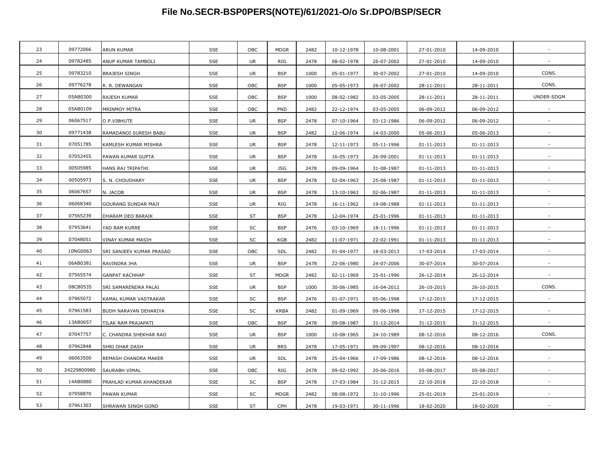| 23 | 09772066    | <b>ARUN KUMAR</b>        | SSE        | OBC       | <b>MDGR</b> | 2482 | 10-12-1978 | 10-08-2001 | 27-01-2010       | 14-09-2010       |            |
|----|-------------|--------------------------|------------|-----------|-------------|------|------------|------------|------------------|------------------|------------|
| 24 | 09782485    | ANUP KUMAR TAMBOLI       | SSE        | <b>UR</b> | RIG         | 2478 | 08-02-1978 | 26-07-2002 | 27-01-2010       | 14-09-2010       |            |
| 25 | 09783210    | <b>BRAJESH SINGH</b>     | SSE        | <b>UR</b> | <b>BSP</b>  | 1000 | 05-01-1977 | 30-07-2002 | 27-01-2010       | 14-09-2010       | CONS.      |
| 26 | 09776278    | R. R. DEWANGAN           | SSE        | OBC       | <b>BSP</b>  | 1000 | 05-05-1973 | 26-07-2002 | 28-11-2011       | 28-11-2011       | CONS.      |
| 27 | 05AB0300    | RAJESH KUMAR             | SSE        | OBC       | <b>BSP</b>  | 1000 | 08-02-1982 | 03-05-2005 | 28-11-2011       | 28-11-2011       | UNDER-SDGM |
| 28 | 05AB0109    | MRINMOY MITRA            | SSE        | OBC       | PND         | 2482 | 22-12-1974 | 03-05-2005 | 06-09-2012       | 06-09-2012       |            |
| 29 | 06067517    | O.P.VIBHUTE              | SSE        | UR        | <b>BSP</b>  | 2478 | 07-10-1964 | 03-12-1986 | 06-09-2012       | 06-09-2012       |            |
| 30 | 09771438    | RAMADANOI SURESH BABU    | SSE        | UR        | <b>BSP</b>  | 2482 | 12-06-1974 | 14-03-2000 | 05-06-2013       | 05-06-2013       | $\sim$     |
| 31 | 07051785    | KAMLESH KUMAR MISHRA     | SSE        | <b>UR</b> | <b>BSP</b>  | 2478 | 12-11-1973 | 05-11-1996 | 01-11-2013       | 01-11-2013       |            |
| 32 | 07052455    | PAWAN KUMAR GUPTA        | SSE        | UR        | <b>BSP</b>  | 2478 | 16-05-1973 | 26-09-2001 | 01-11-2013       | 01-11-2013       |            |
| 33 | 00505985    | HANS RAJ TRIPATHI        | SSE        | <b>UR</b> | <b>JSG</b>  | 2478 | 09-09-1964 | 31-08-1987 | $01 - 11 - 2013$ | $01 - 11 - 2013$ | $\sim$     |
| 34 | 00505973    | S. N. CHOUDHARY          | SSE        | UR        | <b>BSP</b>  | 2478 | 02-04-1963 | 25-08-1987 | 01-11-2013       | 01-11-2013       | $\sim$     |
| 35 | 06067657    | N. JACOB                 | SSE        | UR        | <b>BSP</b>  | 2478 | 13-10-1963 | 02-06-1987 | $01 - 11 - 2013$ | 01-11-2013       | $\sim$     |
| 36 | 06068340    | GOURANG SUNDAR MAJI      | SSE        | UR        | RIG         | 2478 | 16-11-1962 | 19-08-1988 | 01-11-2013       | 01-11-2013       |            |
| 37 | 07565239    | DHARAM DEO BARAIK        | SSE        | ST        | <b>BSP</b>  | 2478 | 12-04-1974 | 25-01-1996 | 01-11-2013       | 01-11-2013       |            |
| 38 | 07953641    | YAD RAM KURRE            | SSE        | SC        | <b>BSP</b>  | 2476 | 03-10-1969 | 18-11-1996 | 01-11-2013       | 01-11-2013       | $\sim$     |
| 39 | 07048051    | VINAY KUMAR MASIH        | <b>SSE</b> | SC        | KGB         | 2482 | 11-07-1971 | 22-02-1991 | 01-11-2013       | 01-11-2013       | $\sim$     |
| 40 | 10NG0063    | SRI SANJEEV KUMAR PRASAD | SSE        | OBC       | SDL         | 2482 | 01-04-1977 | 18-03-2013 | 17-03-2014       | 17-03-2014       |            |
| 41 | 06AB0381    | RAVINDRA JHA             | SSE        | <b>UR</b> | <b>BSP</b>  | 2478 | 22-06-1980 | 24-07-2006 | 30-07-2014       | 30-07-2014       |            |
| 42 | 07565574    | <b>GANPAT KACHHAP</b>    | SSE        | ST        | <b>MDGR</b> | 2482 | 02-11-1969 | 25-01-1996 | 26-12-2014       | 26-12-2014       | $\sim$     |
| 43 | 08CB0535    | SRI SAMARENDRA PALAI     | SSE        | UR        | <b>BSP</b>  | 1000 | 30-06-1985 | 16-04-2012 | 26-10-2015       | 26-10-2015       | CONS.      |
| 44 | 07965072    | KAMAL KUMAR VASTRAKAR    | SSE        | SC        | <b>BSP</b>  | 2476 | 01-07-1971 | 05-06-1998 | 17-12-2015       | 17-12-2015       |            |
| 45 | 07961583    | BUDH NARAYAN DEHARIYA    | SSE        | SC        | <b>KRBA</b> | 2482 | 01-09-1969 | 09-06-1998 | 17-12-2015       | 17-12-2015       |            |
| 46 | 13AB0657    | TILAK RAM PRAJAPATI      | SSE        | OBC       | <b>BSP</b>  | 2478 | 09-08-1987 | 31-12-2014 | 31-12-2015       | 31-12-2015       | $\sim$     |
| 47 | 07047757    | C. CHANDRA SHEKHAR RAO   | SSE        | UR        | <b>BSP</b>  | 1000 | 10-08-1965 | 24-10-1989 | 08-12-2016       | 08-12-2016       | CONS.      |
| 48 | 07962848    | SHRI DHAR DASH           | SSE        | UR        | <b>BRS</b>  | 2478 | 17-05-1971 | 09-09-1997 | 08-12-2016       | 08-12-2016       |            |
| 49 | 06063500    | REMASH CHANDRA MAKER     | SSE        | <b>UR</b> | SDL         | 2478 | 25-04-1966 | 17-09-1986 | 08-12-2016       | 08-12-2016       |            |
| 50 | 24229800980 | SAURABH VIMAL            | SSE        | OBC       | RIG         | 2478 | 09-02-1992 | 20-06-2016 | 05-08-2017       | 05-08-2017       |            |
| 51 | 14AB0880    | PRAHLAD KUMAR KHANDEKAR  | SSE        | SC        | <b>BSP</b>  | 2478 | 17-03-1984 | 31-12-2015 | 22-10-2018       | 22-10-2018       | $\sim$     |
| 52 | 07958870    | PAWAN KUMAR              | SSE        | SC        | <b>MDGR</b> | 2482 | 08-08-1972 | 31-10-1996 | 25-01-2019       | 25-01-2019       |            |
| 53 | 07961303    | SHRAWAN SINGH GOND       | SSE        | <b>ST</b> | CPH         | 2478 | 19-03-1971 | 30-11-1996 | 18-02-2020       | 18-02-2020       |            |